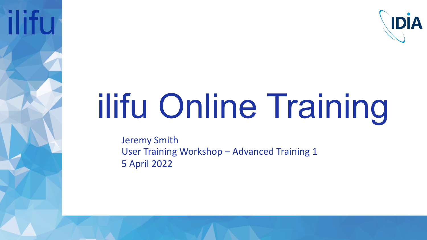

# ilifu Online Training

Jeremy Smith User Training Workshop – Advanced Training 1 5 April 2022

**ilifu**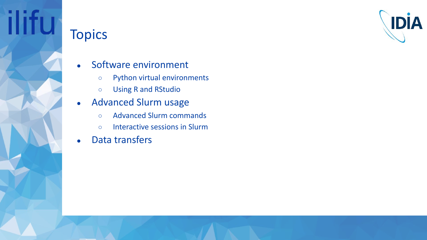

# **Topics**

**ilifu** 

- Software environment
	- Python virtual environments
	- Using R and RStudio
- Advanced Slurm usage
	- Advanced Slurm commands
	- Interactive sessions in Slurm
- Data transfers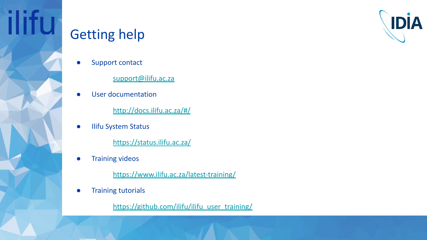

### Getting help

**ilifu** 

Support contact

[support@ilifu.ac.za](mailto:support@ilifu.ac.za)

User documentation

<http://docs.ilifu.ac.za/#/>

**Ilifu System Status** 

<https://status.ilifu.ac.za/>

**•** Training videos

<https://www.ilifu.ac.za/latest-training/>

● Training tutorials

[https://github.com/ilifu/ilifu\\_user\\_training/](https://github.com/ilifu/ilifu_user_training/)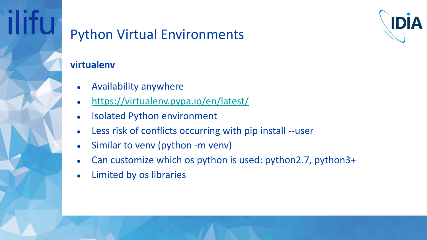

### **virtualenv**

- Availability anywhere
- <https://virtualenv.pypa.io/en/latest/>
- **Isolated Python environment**
- Less risk of conflicts occurring with pip install --user
- Similar to venv (python -m venv)
- Can customize which os python is used: python2.7, python3+
- Limited by os libraries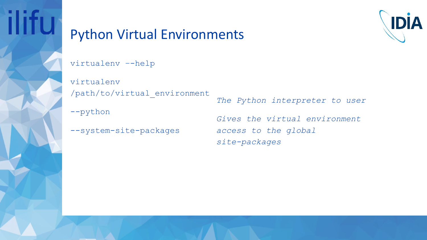



virtualenv –-help

virtualenv /path/to/virtual\_environment

--python

--system-site-packages

*The Python interpreter to user*

*Gives the virtual environment access to the global site-packages*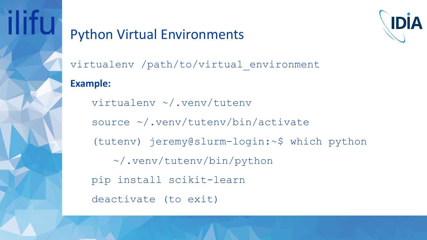



virtualenv /path/to/virtual\_environment

### **Example:**

virtualenv ~/.venv/tutenv source ~/.venv/tutenv/bin/activate (tutenv) jeremy@slurm-login:~\$ which python ~/.venv/tutenv/bin/python pip install scikit-learn deactivate (to exit)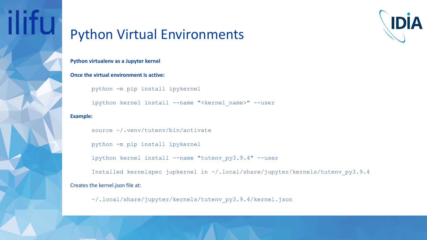



**Python virtualenv as a Jupyter kernel**

**Once the virtual environment is active:**

python -m pip install ipykernel

ipython kernel install --name "<kernel name>" --user

**Example:**

source ~/.venv/tutenv/bin/activate

python -m pip install ipykernel

ipython kernel install --name "tutenv py3.9.4" --user

Installed kernelspec jupkernel in ~/.local/share/jupyter/kernels/tutenv\_py3.9.4 Creates the kernel.json file at:

~/.local/share/jupyter/kernels/tutenv\_py3.9.4/kernel.json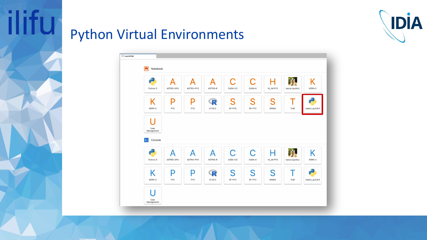

ilifu

| Python 3                | Д<br>ASTRO-GPU       | Δ<br>ASTRO-PY3 | А<br>ASTRO-R | C<br>CASA-5.5              | C<br>CASA-6           | Н<br>HI_IM PY3 | katcal (public) | K<br>KERN-2    |
|-------------------------|----------------------|----------------|--------------|----------------------------|-----------------------|----------------|-----------------|----------------|
| Κ<br>KERN-5             | P<br>PY <sub>2</sub> | P<br>PY3       | R<br>R 4.0.3 | S<br>SF-PY2                | S<br>SF-PY3           | S<br>SIMBA     | T<br>TraP       | tutenv_py3.9.4 |
|                         |                      |                |              |                            |                       |                |                 |                |
| User<br>Management      |                      |                |              |                            |                       |                |                 |                |
|                         |                      |                |              |                            |                       |                |                 |                |
| Console<br>$\mathbf{E}$ |                      |                |              |                            |                       |                |                 |                |
| Python 3                | А<br>ASTRO-GPU       | Д<br>ASTRO-PY3 | A<br>ASTRO-R | $\overline{C}$<br>CASA-5.5 | $\mathsf C$<br>CASA-6 | HI_IM PY3      | katcal (public) | K              |
| Κ                       | P                    | P              | R            | S                          | S                     | S              |                 | KERN-2         |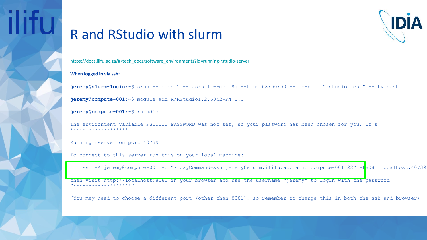# **IIITU**

# IDIA

### R and RStudio with slurm

[https://docs.ilifu.ac.za/#/tech\\_docs/software\\_environments?id=running-rstudio-server](https://docs.ilifu.ac.za/#/tech_docs/software_environments?id=running-rstudio-server)

### **When logged in via ssh:**

**jeremy@slurm-login**:~\$ srun --nodes=1 --tasks=1 --mem=8g --time 08:00:00 --job-name="rstudio test" --pty bash

**jeremy@compute-001**:~\$ module add R/RStudio1.2.5042-R4.0.0

### **jeremy@compute-001**:~\$ rstudio

The environment variable RSTUDIO PASSWORD was not set, so your password has been chosen for you. It's: \*\*\*\*\*\*\*\*\*\*\*\*\*\*\*\*\*\*\*

Running rserver on port 40739

To connect to this server run this on your local machine:

ssh -A jeremy@compute-001 -o "ProxyCommand=ssh jeremy@slurm.ilifu.ac.za nc compute-001 22" -I8081:localhost:40739

then visit http://localhost:8081 in your browser and use the username "jeremy" to login with the password **"\*\*\*\*\*\*\*\*\*\*\*\*\*\*\*\*"** 

(You may need to choose a different port (other than 8081), so remember to change this in both the ssh and browser)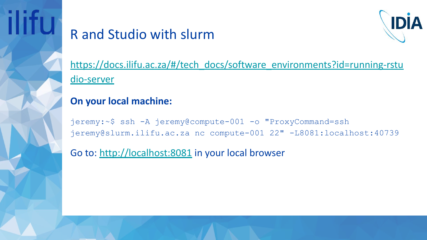

### R and Studio with slurm



[https://docs.ilifu.ac.za/#/tech\\_docs/software\\_environments?id=running-rstu](https://docs.ilifu.ac.za/#/tech_docs/software_environments?id=running-rstudio-server) [dio-server](https://docs.ilifu.ac.za/#/tech_docs/software_environments?id=running-rstudio-server)

### **On your local machine:**

jeremy:~\$ ssh -A jeremy@compute-001 -o "ProxyCommand=ssh jeremy@slurm.ilifu.ac.za nc compute-001 22" -L8081:localhost:40739

Go to: <http://localhost:8081>in your local browser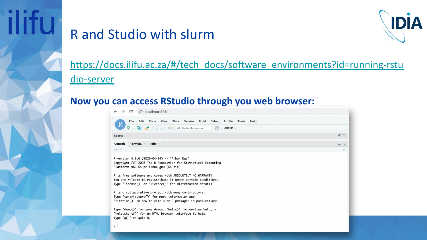

### R and Studio with slurm



[https://docs.ilifu.ac.za/#/tech\\_docs/software\\_environments?id=running-rstu](https://docs.ilifu.ac.za/#/tech_docs/software_environments?id=running-rstudio-server) [dio-server](https://docs.ilifu.ac.za/#/tech_docs/software_environments?id=running-rstudio-server)

### **Now you can access RStudio through you web browser:**